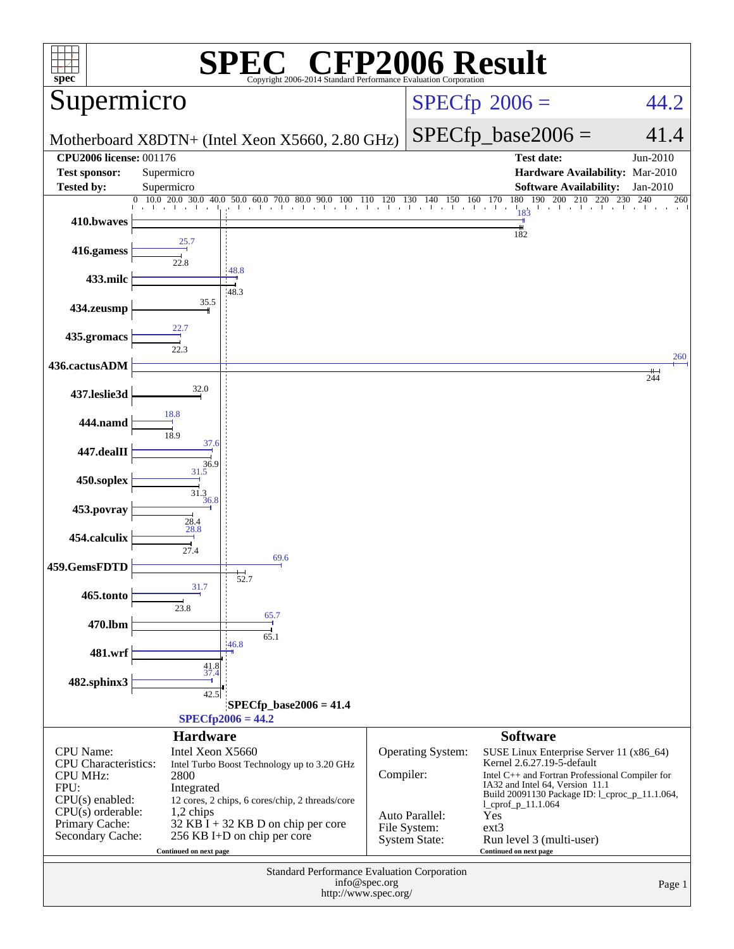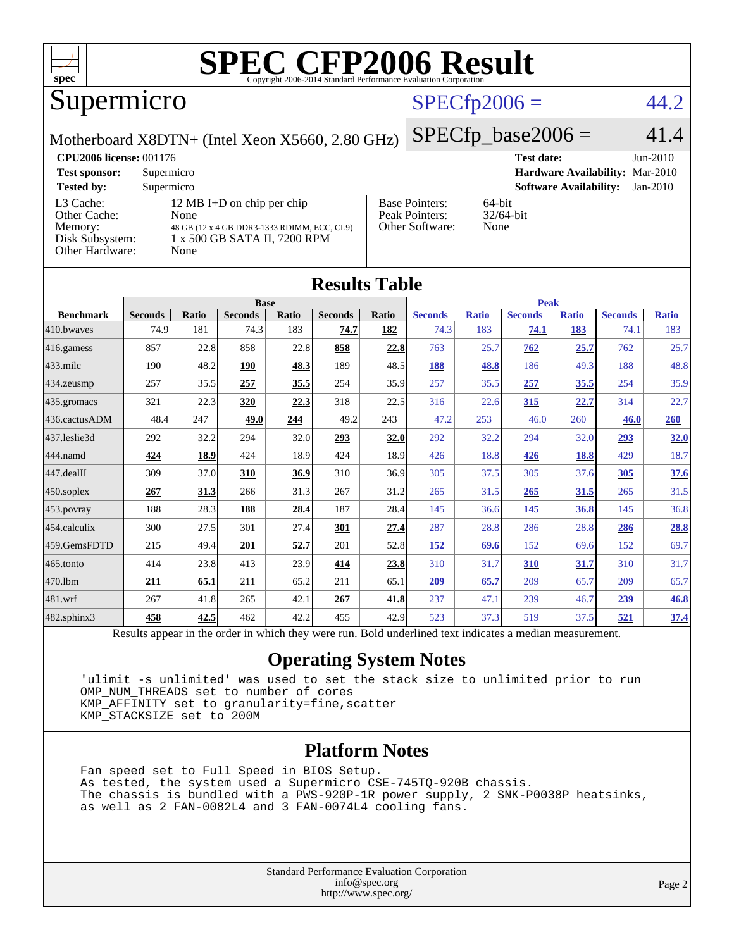

#### Supermicro

#### $SPECfp2006 = 44.2$  $SPECfp2006 = 44.2$

Motherboard X8DTN+ (Intel Xeon X5660, 2.80 GHz)

 $SPECfp\_base2006 = 41.4$ 

| <b>CPU2006 license: 001176</b>                                             |                                                                                                                           |                                                            | <b>Test date:</b><br>Jun-2010               |
|----------------------------------------------------------------------------|---------------------------------------------------------------------------------------------------------------------------|------------------------------------------------------------|---------------------------------------------|
| <b>Test sponsor:</b>                                                       | Supermicro                                                                                                                | Hardware Availability: Mar-2010                            |                                             |
| <b>Tested by:</b>                                                          | Supermicro                                                                                                                |                                                            | <b>Software Availability:</b><br>$Jan-2010$ |
| L3 Cache:<br>Other Cache:<br>Memory:<br>Disk Subsystem:<br>Other Hardware: | 12 MB I+D on chip per chip<br>None<br>48 GB (12 x 4 GB DDR3-1333 RDIMM, ECC, CL9)<br>1 x 500 GB SATA II, 7200 RPM<br>None | <b>Base Pointers:</b><br>Peak Pointers:<br>Other Software: | $64$ -bit<br>$32/64$ -bit<br>None           |

**[Results Table](http://www.spec.org/auto/cpu2006/Docs/result-fields.html#ResultsTable)**

| Results Table                                                                                            |                |              |                |       |                |            |                |              |                |              |                |              |
|----------------------------------------------------------------------------------------------------------|----------------|--------------|----------------|-------|----------------|------------|----------------|--------------|----------------|--------------|----------------|--------------|
|                                                                                                          |                |              | <b>Base</b>    |       |                |            | <b>Peak</b>    |              |                |              |                |              |
| <b>Benchmark</b>                                                                                         | <b>Seconds</b> | <b>Ratio</b> | <b>Seconds</b> | Ratio | <b>Seconds</b> | Ratio      | <b>Seconds</b> | <b>Ratio</b> | <b>Seconds</b> | <b>Ratio</b> | <b>Seconds</b> | <b>Ratio</b> |
| 410.bwaves                                                                                               | 74.9           | 181          | 74.3           | 183   | 74.7           | <u>182</u> | 74.3           | 183          | 74.1           | 183          | 74.1           | 183          |
| 416.gamess                                                                                               | 857            | 22.8         | 858            | 22.8  | 858            | 22.8       | 763            | 25.7         | 762            | 25.7         | 762            | 25.7         |
| $433$ .milc                                                                                              | 190            | 48.2         | 190            | 48.3  | 189            | 48.5       | 188            | 48.8         | 186            | 49.3         | 188            | 48.8         |
| $434$ . zeusmp                                                                                           | 257            | 35.5         | 257            | 35.5  | 254            | 35.9       | 257            | 35.5         | 257            | 35.5         | 254            | 35.9         |
| 435.gromacs                                                                                              | 321            | 22.3         | 320            | 22.3  | 318            | 22.5       | 316            | 22.6         | 315            | 22.7         | 314            | 22.7         |
| 436.cactusADM                                                                                            | 48.4           | 247          | 49.0           | 244   | 49.2           | 243        | 47.2           | 253          | 46.0           | 260          | 46.0           | 260          |
| 437.leslie3d                                                                                             | 292            | 32.2         | 294            | 32.0  | 293            | 32.0       | 292            | 32.2         | 294            | 32.0         | 293            | <b>32.0</b>  |
| 444.namd                                                                                                 | 424            | 18.9         | 424            | 18.9  | 424            | 18.9       | 426            | 18.8         | 426            | 18.8         | 429            | 18.7         |
| $447$ .dealII                                                                                            | 309            | 37.0         | 310            | 36.9  | 310            | 36.9       | 305            | 37.5         | 305            | 37.6         | 305            | 37.6         |
| $450$ .soplex                                                                                            | 267            | 31.3         | 266            | 31.3  | 267            | 31.2       | 265            | 31.5         | 265            | 31.5         | 265            | 31.5         |
| 453.povray                                                                                               | 188            | 28.3         | 188            | 28.4  | 187            | 28.4       | 145            | 36.6         | 145            | 36.8         | 145            | 36.8         |
| $454$ .calculix                                                                                          | 300            | 27.5         | 301            | 27.4  | 301            | 27.4       | 287            | 28.8         | 286            | 28.8         | 286            | 28.8         |
| 459.GemsFDTD                                                                                             | 215            | 49.4         | 201            | 52.7  | 201            | 52.8       | 152            | 69.6         | 152            | 69.6         | 152            | 69.7         |
| 465.tonto                                                                                                | 414            | 23.8         | 413            | 23.9  | 414            | 23.8       | 310            | 31.7         | <b>310</b>     | <u>31.7</u>  | 310            | 31.7         |
| 470.1bm                                                                                                  | 211            | 65.1         | 211            | 65.2  | 211            | 65.1       | 209            | 65.7         | 209            | 65.7         | 209            | 65.7         |
| $ 481$ .wrf                                                                                              | 267            | 41.8         | 265            | 42.1  | 267            | 41.8       | 237            | 47.1         | 239            | 46.7         | <u>239</u>     | 46.8         |
| $482$ .sphinx $3$                                                                                        | 458            | 42.5         | 462            | 42.2  | 455            | 42.9       | 523            | 37.3         | 519            | 37.5         | 521            | 37.4         |
| Results appear in the order in which they were run. Bold underlined text indicates a median measurement. |                |              |                |       |                |            |                |              |                |              |                |              |

#### **[Operating System Notes](http://www.spec.org/auto/cpu2006/Docs/result-fields.html#OperatingSystemNotes)**

 'ulimit -s unlimited' was used to set the stack size to unlimited prior to run OMP\_NUM\_THREADS set to number of cores KMP\_AFFINITY set to granularity=fine,scatter KMP\_STACKSIZE set to 200M

#### **[Platform Notes](http://www.spec.org/auto/cpu2006/Docs/result-fields.html#PlatformNotes)**

 Fan speed set to Full Speed in BIOS Setup. As tested, the system used a Supermicro CSE-745TQ-920B chassis. The chassis is bundled with a PWS-920P-1R power supply, 2 SNK-P0038P heatsinks, as well as 2 FAN-0082L4 and 3 FAN-0074L4 cooling fans.

> Standard Performance Evaluation Corporation [info@spec.org](mailto:info@spec.org) <http://www.spec.org/>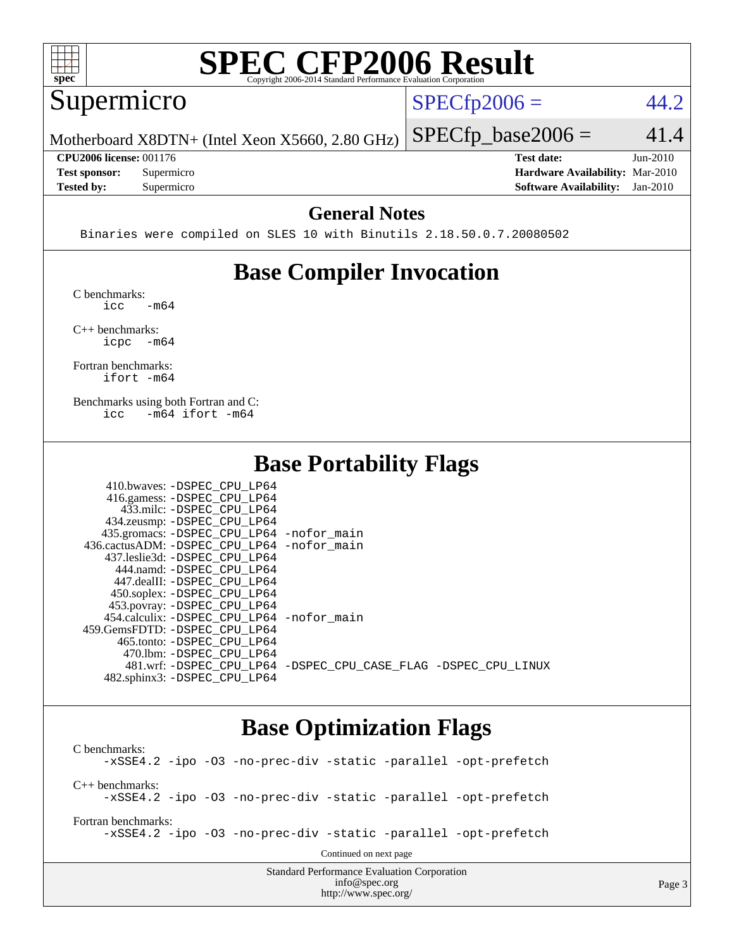

#### Supermicro

 $SPECTp2006 = 44.2$ 

Motherboard X8DTN+ (Intel Xeon X5660, 2.80 GHz)

 $SPECfp\_base2006 = 41.4$ 

Page 3

**[CPU2006 license:](http://www.spec.org/auto/cpu2006/Docs/result-fields.html#CPU2006license)** 001176 **[Test date:](http://www.spec.org/auto/cpu2006/Docs/result-fields.html#Testdate)** Jun-2010

**[Tested by:](http://www.spec.org/auto/cpu2006/Docs/result-fields.html#Testedby)** Supermicro **[Software Availability:](http://www.spec.org/auto/cpu2006/Docs/result-fields.html#SoftwareAvailability)** Jan-2010

**[Test sponsor:](http://www.spec.org/auto/cpu2006/Docs/result-fields.html#Testsponsor)** Supermicro **[Hardware Availability:](http://www.spec.org/auto/cpu2006/Docs/result-fields.html#HardwareAvailability)** Mar-2010

#### **[General Notes](http://www.spec.org/auto/cpu2006/Docs/result-fields.html#GeneralNotes)**

Binaries were compiled on SLES 10 with Binutils 2.18.50.0.7.20080502

### **[Base Compiler Invocation](http://www.spec.org/auto/cpu2006/Docs/result-fields.html#BaseCompilerInvocation)**

[C benchmarks](http://www.spec.org/auto/cpu2006/Docs/result-fields.html#Cbenchmarks):  $\text{icc}$   $-\text{m64}$ 

[C++ benchmarks:](http://www.spec.org/auto/cpu2006/Docs/result-fields.html#CXXbenchmarks) [icpc -m64](http://www.spec.org/cpu2006/results/res2010q3/cpu2006-20100622-12003.flags.html#user_CXXbase_intel_icpc_64bit_bedb90c1146cab66620883ef4f41a67e)

[Fortran benchmarks](http://www.spec.org/auto/cpu2006/Docs/result-fields.html#Fortranbenchmarks): [ifort -m64](http://www.spec.org/cpu2006/results/res2010q3/cpu2006-20100622-12003.flags.html#user_FCbase_intel_ifort_64bit_ee9d0fb25645d0210d97eb0527dcc06e)

[Benchmarks using both Fortran and C](http://www.spec.org/auto/cpu2006/Docs/result-fields.html#BenchmarksusingbothFortranandC): [icc -m64](http://www.spec.org/cpu2006/results/res2010q3/cpu2006-20100622-12003.flags.html#user_CC_FCbase_intel_icc_64bit_0b7121f5ab7cfabee23d88897260401c) [ifort -m64](http://www.spec.org/cpu2006/results/res2010q3/cpu2006-20100622-12003.flags.html#user_CC_FCbase_intel_ifort_64bit_ee9d0fb25645d0210d97eb0527dcc06e)

#### **[Base Portability Flags](http://www.spec.org/auto/cpu2006/Docs/result-fields.html#BasePortabilityFlags)**

| 410.bwaves: -DSPEC CPU LP64                |                                                                |
|--------------------------------------------|----------------------------------------------------------------|
| 416.gamess: -DSPEC_CPU_LP64                |                                                                |
| 433.milc: -DSPEC CPU LP64                  |                                                                |
| 434.zeusmp: -DSPEC_CPU_LP64                |                                                                |
| 435.gromacs: -DSPEC_CPU_LP64 -nofor_main   |                                                                |
| 436.cactusADM: -DSPEC CPU LP64 -nofor main |                                                                |
| 437.leslie3d: -DSPEC CPU LP64              |                                                                |
| 444.namd: -DSPEC CPU LP64                  |                                                                |
| 447.dealII: -DSPEC CPU LP64                |                                                                |
| 450.soplex: -DSPEC_CPU_LP64                |                                                                |
| 453.povray: -DSPEC_CPU_LP64                |                                                                |
| 454.calculix: -DSPEC CPU LP64 -nofor main  |                                                                |
| 459. GemsFDTD: - DSPEC CPU LP64            |                                                                |
| 465.tonto: - DSPEC CPU LP64                |                                                                |
| 470.1bm: - DSPEC CPU LP64                  |                                                                |
|                                            | 481.wrf: -DSPEC CPU_LP64 -DSPEC_CPU_CASE_FLAG -DSPEC_CPU_LINUX |
| 482.sphinx3: -DSPEC CPU LP64               |                                                                |

#### **[Base Optimization Flags](http://www.spec.org/auto/cpu2006/Docs/result-fields.html#BaseOptimizationFlags)**

[info@spec.org](mailto:info@spec.org) <http://www.spec.org/>

Standard Performance Evaluation Corporation [C benchmarks](http://www.spec.org/auto/cpu2006/Docs/result-fields.html#Cbenchmarks): [-xSSE4.2](http://www.spec.org/cpu2006/results/res2010q3/cpu2006-20100622-12003.flags.html#user_CCbase_f-xSSE42_f91528193cf0b216347adb8b939d4107) [-ipo](http://www.spec.org/cpu2006/results/res2010q3/cpu2006-20100622-12003.flags.html#user_CCbase_f-ipo) [-O3](http://www.spec.org/cpu2006/results/res2010q3/cpu2006-20100622-12003.flags.html#user_CCbase_f-O3) [-no-prec-div](http://www.spec.org/cpu2006/results/res2010q3/cpu2006-20100622-12003.flags.html#user_CCbase_f-no-prec-div) [-static](http://www.spec.org/cpu2006/results/res2010q3/cpu2006-20100622-12003.flags.html#user_CCbase_f-static) [-parallel](http://www.spec.org/cpu2006/results/res2010q3/cpu2006-20100622-12003.flags.html#user_CCbase_f-parallel) [-opt-prefetch](http://www.spec.org/cpu2006/results/res2010q3/cpu2006-20100622-12003.flags.html#user_CCbase_f-opt-prefetch) [C++ benchmarks:](http://www.spec.org/auto/cpu2006/Docs/result-fields.html#CXXbenchmarks) [-xSSE4.2](http://www.spec.org/cpu2006/results/res2010q3/cpu2006-20100622-12003.flags.html#user_CXXbase_f-xSSE42_f91528193cf0b216347adb8b939d4107) [-ipo](http://www.spec.org/cpu2006/results/res2010q3/cpu2006-20100622-12003.flags.html#user_CXXbase_f-ipo) [-O3](http://www.spec.org/cpu2006/results/res2010q3/cpu2006-20100622-12003.flags.html#user_CXXbase_f-O3) [-no-prec-div](http://www.spec.org/cpu2006/results/res2010q3/cpu2006-20100622-12003.flags.html#user_CXXbase_f-no-prec-div) [-static](http://www.spec.org/cpu2006/results/res2010q3/cpu2006-20100622-12003.flags.html#user_CXXbase_f-static) [-parallel](http://www.spec.org/cpu2006/results/res2010q3/cpu2006-20100622-12003.flags.html#user_CXXbase_f-parallel) [-opt-prefetch](http://www.spec.org/cpu2006/results/res2010q3/cpu2006-20100622-12003.flags.html#user_CXXbase_f-opt-prefetch) [Fortran benchmarks](http://www.spec.org/auto/cpu2006/Docs/result-fields.html#Fortranbenchmarks): [-xSSE4.2](http://www.spec.org/cpu2006/results/res2010q3/cpu2006-20100622-12003.flags.html#user_FCbase_f-xSSE42_f91528193cf0b216347adb8b939d4107) [-ipo](http://www.spec.org/cpu2006/results/res2010q3/cpu2006-20100622-12003.flags.html#user_FCbase_f-ipo) [-O3](http://www.spec.org/cpu2006/results/res2010q3/cpu2006-20100622-12003.flags.html#user_FCbase_f-O3) [-no-prec-div](http://www.spec.org/cpu2006/results/res2010q3/cpu2006-20100622-12003.flags.html#user_FCbase_f-no-prec-div) [-static](http://www.spec.org/cpu2006/results/res2010q3/cpu2006-20100622-12003.flags.html#user_FCbase_f-static) [-parallel](http://www.spec.org/cpu2006/results/res2010q3/cpu2006-20100622-12003.flags.html#user_FCbase_f-parallel) [-opt-prefetch](http://www.spec.org/cpu2006/results/res2010q3/cpu2006-20100622-12003.flags.html#user_FCbase_f-opt-prefetch) Continued on next page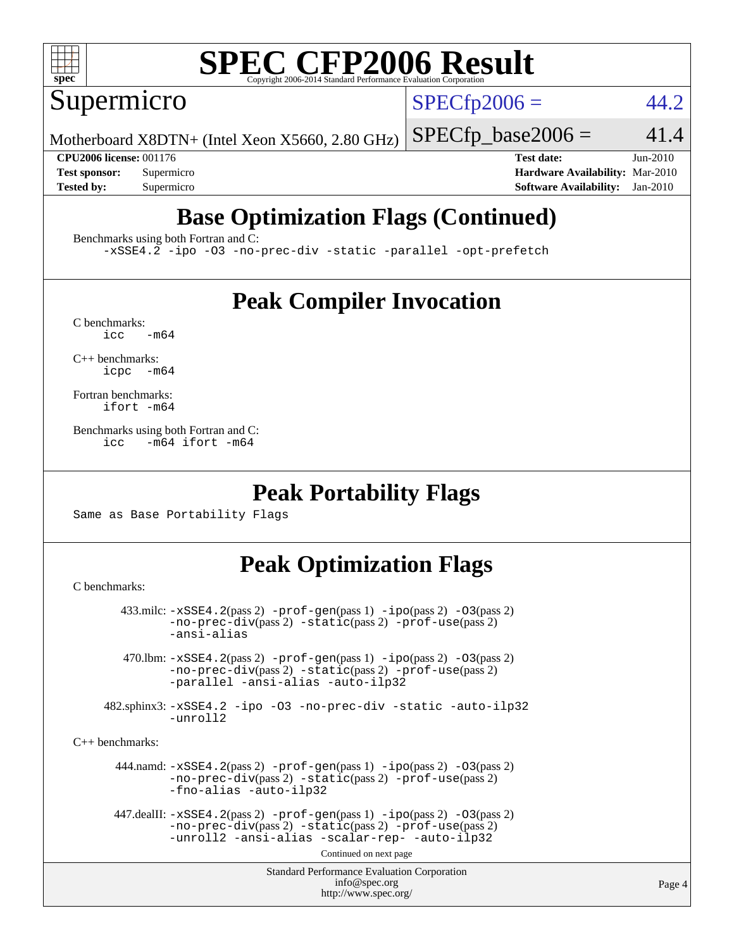

Supermicro

 $SPECTp2006 = 44.2$ 

Motherboard X8DTN+ (Intel Xeon X5660, 2.80 GHz)

 $SPECTp\_base2006 = 41.4$ 

**[CPU2006 license:](http://www.spec.org/auto/cpu2006/Docs/result-fields.html#CPU2006license)** 001176 **[Test date:](http://www.spec.org/auto/cpu2006/Docs/result-fields.html#Testdate)** Jun-2010 **[Test sponsor:](http://www.spec.org/auto/cpu2006/Docs/result-fields.html#Testsponsor)** Supermicro **[Hardware Availability:](http://www.spec.org/auto/cpu2006/Docs/result-fields.html#HardwareAvailability)** Mar-2010 **[Tested by:](http://www.spec.org/auto/cpu2006/Docs/result-fields.html#Testedby)** Supermicro **[Software Availability:](http://www.spec.org/auto/cpu2006/Docs/result-fields.html#SoftwareAvailability)** Jan-2010

### **[Base Optimization Flags \(Continued\)](http://www.spec.org/auto/cpu2006/Docs/result-fields.html#BaseOptimizationFlags)**

[Benchmarks using both Fortran and C](http://www.spec.org/auto/cpu2006/Docs/result-fields.html#BenchmarksusingbothFortranandC):

[-xSSE4.2](http://www.spec.org/cpu2006/results/res2010q3/cpu2006-20100622-12003.flags.html#user_CC_FCbase_f-xSSE42_f91528193cf0b216347adb8b939d4107) [-ipo](http://www.spec.org/cpu2006/results/res2010q3/cpu2006-20100622-12003.flags.html#user_CC_FCbase_f-ipo) [-O3](http://www.spec.org/cpu2006/results/res2010q3/cpu2006-20100622-12003.flags.html#user_CC_FCbase_f-O3) [-no-prec-div](http://www.spec.org/cpu2006/results/res2010q3/cpu2006-20100622-12003.flags.html#user_CC_FCbase_f-no-prec-div) [-static](http://www.spec.org/cpu2006/results/res2010q3/cpu2006-20100622-12003.flags.html#user_CC_FCbase_f-static) [-parallel](http://www.spec.org/cpu2006/results/res2010q3/cpu2006-20100622-12003.flags.html#user_CC_FCbase_f-parallel) [-opt-prefetch](http://www.spec.org/cpu2006/results/res2010q3/cpu2006-20100622-12003.flags.html#user_CC_FCbase_f-opt-prefetch)

### **[Peak Compiler Invocation](http://www.spec.org/auto/cpu2006/Docs/result-fields.html#PeakCompilerInvocation)**

 $C$  benchmarks:<br>icc  $-m64$ 

[C++ benchmarks:](http://www.spec.org/auto/cpu2006/Docs/result-fields.html#CXXbenchmarks) [icpc -m64](http://www.spec.org/cpu2006/results/res2010q3/cpu2006-20100622-12003.flags.html#user_CXXpeak_intel_icpc_64bit_bedb90c1146cab66620883ef4f41a67e)

[Fortran benchmarks](http://www.spec.org/auto/cpu2006/Docs/result-fields.html#Fortranbenchmarks): [ifort -m64](http://www.spec.org/cpu2006/results/res2010q3/cpu2006-20100622-12003.flags.html#user_FCpeak_intel_ifort_64bit_ee9d0fb25645d0210d97eb0527dcc06e)

[Benchmarks using both Fortran and C](http://www.spec.org/auto/cpu2006/Docs/result-fields.html#BenchmarksusingbothFortranandC): [icc -m64](http://www.spec.org/cpu2006/results/res2010q3/cpu2006-20100622-12003.flags.html#user_CC_FCpeak_intel_icc_64bit_0b7121f5ab7cfabee23d88897260401c) [ifort -m64](http://www.spec.org/cpu2006/results/res2010q3/cpu2006-20100622-12003.flags.html#user_CC_FCpeak_intel_ifort_64bit_ee9d0fb25645d0210d97eb0527dcc06e)

#### **[Peak Portability Flags](http://www.spec.org/auto/cpu2006/Docs/result-fields.html#PeakPortabilityFlags)**

Same as Base Portability Flags

#### **[Peak Optimization Flags](http://www.spec.org/auto/cpu2006/Docs/result-fields.html#PeakOptimizationFlags)**

[C benchmarks](http://www.spec.org/auto/cpu2006/Docs/result-fields.html#Cbenchmarks):

```
Standard Performance Evaluation Corporation
                                           info@spec.org
                                         http://www.spec.org/
        433.milc: -xSSE4.2(pass 2) -prof-gen(pass 1) -ipo(pass 2) -O3(pass 2)
                -no-prec-div(pass 2) -static(pass 2) -prof-use(pass 2)
                -ansi-alias
         470.lbm: -xSSE4.2(pass 2) -prof-gen(pass 1) -ipo(pass 2) -O3(pass 2)
                -no-prec-div(pass 2) -static(pass 2) -prof-use(pass 2)
                -parallel -ansi-alias -auto-ilp32
      482.sphinx3: -xSSE4.2 -ipo -O3 -no-prec-div -static -auto-ilp32
                -unroll2
C++ benchmarks: 
        444.namd: -xSSE4.2(pass 2) -prof-gen(pass 1) -ipo(pass 2) -O3(pass 2)
                -no-prec-div(pass 2) -static(pass 2) -prof-use(pass 2)
                -fno-alias -auto-ilp32
      447.dealII: -xSSE4. 2(pass 2)-prof-gen-ipo(pass 2) -03(pass 2)
                -no-prec-div(pass 2) -static(pass 2) -prof-use(pass 2)
                -unroll2 -ansi-alias -scalar-rep- -auto-ilp32
                                         Continued on next page
```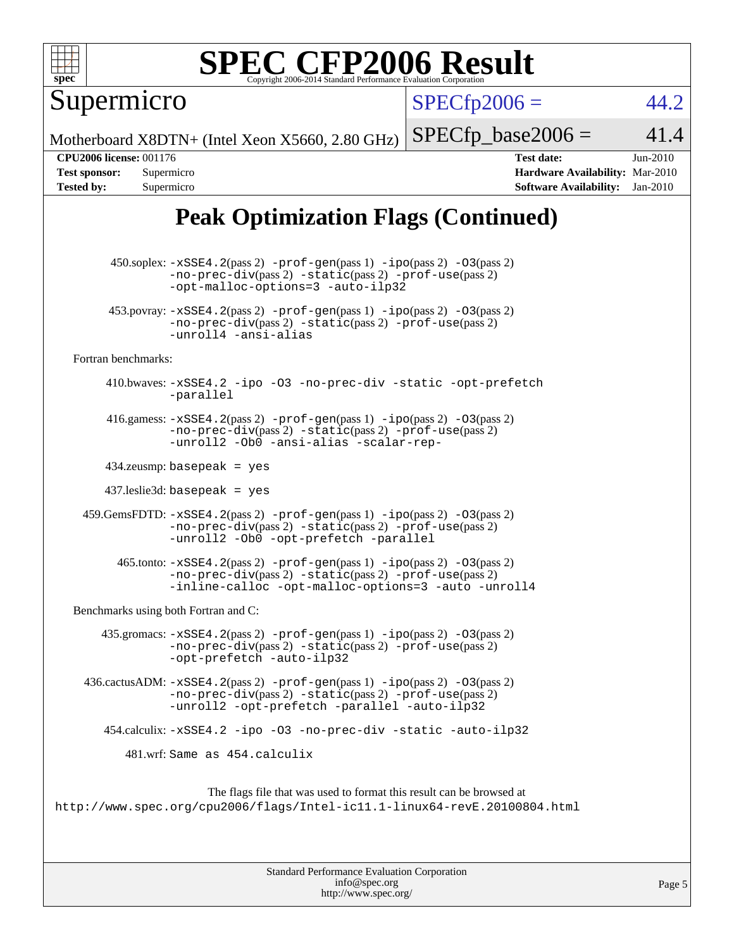

Supermicro

 $SPECTp2006 = 44.2$ 

Motherboard X8DTN+ (Intel Xeon X5660, 2.80 GHz)

 $SPECTp\_base2006 = 41.4$ **[CPU2006 license:](http://www.spec.org/auto/cpu2006/Docs/result-fields.html#CPU2006license)** 001176 **[Test date:](http://www.spec.org/auto/cpu2006/Docs/result-fields.html#Testdate)** Jun-2010 **[Test sponsor:](http://www.spec.org/auto/cpu2006/Docs/result-fields.html#Testsponsor)** Supermicro **[Hardware Availability:](http://www.spec.org/auto/cpu2006/Docs/result-fields.html#HardwareAvailability)** Mar-2010

### **[Peak Optimization Flags \(Continued\)](http://www.spec.org/auto/cpu2006/Docs/result-fields.html#PeakOptimizationFlags)**

**[Tested by:](http://www.spec.org/auto/cpu2006/Docs/result-fields.html#Testedby)** Supermicro **[Software Availability:](http://www.spec.org/auto/cpu2006/Docs/result-fields.html#SoftwareAvailability)** Jan-2010

 450.soplex: [-xSSE4.2](http://www.spec.org/cpu2006/results/res2010q3/cpu2006-20100622-12003.flags.html#user_peakPASS2_CXXFLAGSPASS2_LDFLAGS450_soplex_f-xSSE42_f91528193cf0b216347adb8b939d4107)(pass 2) [-prof-gen](http://www.spec.org/cpu2006/results/res2010q3/cpu2006-20100622-12003.flags.html#user_peakPASS1_CXXFLAGSPASS1_LDFLAGS450_soplex_prof_gen_e43856698f6ca7b7e442dfd80e94a8fc)(pass 1) [-ipo](http://www.spec.org/cpu2006/results/res2010q3/cpu2006-20100622-12003.flags.html#user_peakPASS2_CXXFLAGSPASS2_LDFLAGS450_soplex_f-ipo)(pass 2) [-O3](http://www.spec.org/cpu2006/results/res2010q3/cpu2006-20100622-12003.flags.html#user_peakPASS2_CXXFLAGSPASS2_LDFLAGS450_soplex_f-O3)(pass 2) [-no-prec-div](http://www.spec.org/cpu2006/results/res2010q3/cpu2006-20100622-12003.flags.html#user_peakPASS2_CXXFLAGSPASS2_LDFLAGS450_soplex_f-no-prec-div)(pass 2) [-static](http://www.spec.org/cpu2006/results/res2010q3/cpu2006-20100622-12003.flags.html#user_peakPASS2_CXXFLAGSPASS2_LDFLAGS450_soplex_f-static)(pass 2) [-prof-use](http://www.spec.org/cpu2006/results/res2010q3/cpu2006-20100622-12003.flags.html#user_peakPASS2_CXXFLAGSPASS2_LDFLAGS450_soplex_prof_use_bccf7792157ff70d64e32fe3e1250b55)(pass 2) [-opt-malloc-options=3](http://www.spec.org/cpu2006/results/res2010q3/cpu2006-20100622-12003.flags.html#user_peakOPTIMIZE450_soplex_f-opt-malloc-options_13ab9b803cf986b4ee62f0a5998c2238) [-auto-ilp32](http://www.spec.org/cpu2006/results/res2010q3/cpu2006-20100622-12003.flags.html#user_peakCXXOPTIMIZE450_soplex_f-auto-ilp32) 453.povray:  $-xSSE4$ . 2(pass 2)  $-prof-gen(pass 1) -ipo(pass 2) -O3(pass 2)$  $-prof-gen(pass 1) -ipo(pass 2) -O3(pass 2)$  $-prof-gen(pass 1) -ipo(pass 2) -O3(pass 2)$  $-prof-gen(pass 1) -ipo(pass 2) -O3(pass 2)$  $-prof-gen(pass 1) -ipo(pass 2) -O3(pass 2)$  $-prof-gen(pass 1) -ipo(pass 2) -O3(pass 2)$ [-no-prec-div](http://www.spec.org/cpu2006/results/res2010q3/cpu2006-20100622-12003.flags.html#user_peakPASS2_CXXFLAGSPASS2_LDFLAGS453_povray_f-no-prec-div)(pass 2) [-static](http://www.spec.org/cpu2006/results/res2010q3/cpu2006-20100622-12003.flags.html#user_peakPASS2_CXXFLAGSPASS2_LDFLAGS453_povray_f-static)(pass 2) [-prof-use](http://www.spec.org/cpu2006/results/res2010q3/cpu2006-20100622-12003.flags.html#user_peakPASS2_CXXFLAGSPASS2_LDFLAGS453_povray_prof_use_bccf7792157ff70d64e32fe3e1250b55)(pass 2) [-unroll4](http://www.spec.org/cpu2006/results/res2010q3/cpu2006-20100622-12003.flags.html#user_peakCXXOPTIMIZE453_povray_f-unroll_4e5e4ed65b7fd20bdcd365bec371b81f) [-ansi-alias](http://www.spec.org/cpu2006/results/res2010q3/cpu2006-20100622-12003.flags.html#user_peakCXXOPTIMIZE453_povray_f-ansi-alias) [Fortran benchmarks](http://www.spec.org/auto/cpu2006/Docs/result-fields.html#Fortranbenchmarks): 410.bwaves: [-xSSE4.2](http://www.spec.org/cpu2006/results/res2010q3/cpu2006-20100622-12003.flags.html#user_peakOPTIMIZE410_bwaves_f-xSSE42_f91528193cf0b216347adb8b939d4107) [-ipo](http://www.spec.org/cpu2006/results/res2010q3/cpu2006-20100622-12003.flags.html#user_peakOPTIMIZE410_bwaves_f-ipo) [-O3](http://www.spec.org/cpu2006/results/res2010q3/cpu2006-20100622-12003.flags.html#user_peakOPTIMIZE410_bwaves_f-O3) [-no-prec-div](http://www.spec.org/cpu2006/results/res2010q3/cpu2006-20100622-12003.flags.html#user_peakOPTIMIZE410_bwaves_f-no-prec-div) [-static](http://www.spec.org/cpu2006/results/res2010q3/cpu2006-20100622-12003.flags.html#user_peakOPTIMIZE410_bwaves_f-static) [-opt-prefetch](http://www.spec.org/cpu2006/results/res2010q3/cpu2006-20100622-12003.flags.html#user_peakOPTIMIZE410_bwaves_f-opt-prefetch) [-parallel](http://www.spec.org/cpu2006/results/res2010q3/cpu2006-20100622-12003.flags.html#user_peakOPTIMIZE410_bwaves_f-parallel) 416.gamess:  $-xSSE4$ . 2(pass 2)  $-prof-gen(pass 1) -ipo(pass 2) -O3(pass 2)$  $-prof-gen(pass 1) -ipo(pass 2) -O3(pass 2)$  $-prof-gen(pass 1) -ipo(pass 2) -O3(pass 2)$  $-prof-gen(pass 1) -ipo(pass 2) -O3(pass 2)$  $-prof-gen(pass 1) -ipo(pass 2) -O3(pass 2)$  $-prof-gen(pass 1) -ipo(pass 2) -O3(pass 2)$ [-no-prec-div](http://www.spec.org/cpu2006/results/res2010q3/cpu2006-20100622-12003.flags.html#user_peakPASS2_FFLAGSPASS2_LDFLAGS416_gamess_f-no-prec-div)(pass 2) [-static](http://www.spec.org/cpu2006/results/res2010q3/cpu2006-20100622-12003.flags.html#user_peakPASS2_FFLAGSPASS2_LDFLAGS416_gamess_f-static)(pass 2) [-prof-use](http://www.spec.org/cpu2006/results/res2010q3/cpu2006-20100622-12003.flags.html#user_peakPASS2_FFLAGSPASS2_LDFLAGS416_gamess_prof_use_bccf7792157ff70d64e32fe3e1250b55)(pass 2) [-unroll2](http://www.spec.org/cpu2006/results/res2010q3/cpu2006-20100622-12003.flags.html#user_peakOPTIMIZE416_gamess_f-unroll_784dae83bebfb236979b41d2422d7ec2) [-Ob0](http://www.spec.org/cpu2006/results/res2010q3/cpu2006-20100622-12003.flags.html#user_peakOPTIMIZE416_gamess_f-Ob_n_fbe6f6428adb7d4b74b1e99bb2444c2d) [-ansi-alias](http://www.spec.org/cpu2006/results/res2010q3/cpu2006-20100622-12003.flags.html#user_peakOPTIMIZE416_gamess_f-ansi-alias) [-scalar-rep-](http://www.spec.org/cpu2006/results/res2010q3/cpu2006-20100622-12003.flags.html#user_peakOPTIMIZE416_gamess_f-disablescalarrep_abbcad04450fb118e4809c81d83c8a1d) 434.zeusmp: basepeak = yes 437.leslie3d: basepeak = yes 459.GemsFDTD: [-xSSE4.2](http://www.spec.org/cpu2006/results/res2010q3/cpu2006-20100622-12003.flags.html#user_peakPASS2_FFLAGSPASS2_LDFLAGS459_GemsFDTD_f-xSSE42_f91528193cf0b216347adb8b939d4107)(pass 2) [-prof-gen](http://www.spec.org/cpu2006/results/res2010q3/cpu2006-20100622-12003.flags.html#user_peakPASS1_FFLAGSPASS1_LDFLAGS459_GemsFDTD_prof_gen_e43856698f6ca7b7e442dfd80e94a8fc)(pass 1) [-ipo](http://www.spec.org/cpu2006/results/res2010q3/cpu2006-20100622-12003.flags.html#user_peakPASS2_FFLAGSPASS2_LDFLAGS459_GemsFDTD_f-ipo)(pass 2) [-O3](http://www.spec.org/cpu2006/results/res2010q3/cpu2006-20100622-12003.flags.html#user_peakPASS2_FFLAGSPASS2_LDFLAGS459_GemsFDTD_f-O3)(pass 2) [-no-prec-div](http://www.spec.org/cpu2006/results/res2010q3/cpu2006-20100622-12003.flags.html#user_peakPASS2_FFLAGSPASS2_LDFLAGS459_GemsFDTD_f-no-prec-div)(pass 2) [-static](http://www.spec.org/cpu2006/results/res2010q3/cpu2006-20100622-12003.flags.html#user_peakPASS2_FFLAGSPASS2_LDFLAGS459_GemsFDTD_f-static)(pass 2) [-prof-use](http://www.spec.org/cpu2006/results/res2010q3/cpu2006-20100622-12003.flags.html#user_peakPASS2_FFLAGSPASS2_LDFLAGS459_GemsFDTD_prof_use_bccf7792157ff70d64e32fe3e1250b55)(pass 2) [-unroll2](http://www.spec.org/cpu2006/results/res2010q3/cpu2006-20100622-12003.flags.html#user_peakOPTIMIZE459_GemsFDTD_f-unroll_784dae83bebfb236979b41d2422d7ec2) [-Ob0](http://www.spec.org/cpu2006/results/res2010q3/cpu2006-20100622-12003.flags.html#user_peakOPTIMIZE459_GemsFDTD_f-Ob_n_fbe6f6428adb7d4b74b1e99bb2444c2d) [-opt-prefetch](http://www.spec.org/cpu2006/results/res2010q3/cpu2006-20100622-12003.flags.html#user_peakOPTIMIZE459_GemsFDTD_f-opt-prefetch) [-parallel](http://www.spec.org/cpu2006/results/res2010q3/cpu2006-20100622-12003.flags.html#user_peakOPTIMIZE459_GemsFDTD_f-parallel)  $465$ .tonto:  $-xSSE4$ .  $2(pass 2)$  [-prof-gen](http://www.spec.org/cpu2006/results/res2010q3/cpu2006-20100622-12003.flags.html#user_peakPASS1_FFLAGSPASS1_LDFLAGS465_tonto_prof_gen_e43856698f6ca7b7e442dfd80e94a8fc)(pass 1) [-ipo](http://www.spec.org/cpu2006/results/res2010q3/cpu2006-20100622-12003.flags.html#user_peakPASS2_FFLAGSPASS2_LDFLAGS465_tonto_f-ipo)(pass 2) -03(pass 2) [-no-prec-div](http://www.spec.org/cpu2006/results/res2010q3/cpu2006-20100622-12003.flags.html#user_peakPASS2_FFLAGSPASS2_LDFLAGS465_tonto_f-no-prec-div)(pass 2) [-static](http://www.spec.org/cpu2006/results/res2010q3/cpu2006-20100622-12003.flags.html#user_peakPASS2_FFLAGSPASS2_LDFLAGS465_tonto_f-static)(pass 2) [-prof-use](http://www.spec.org/cpu2006/results/res2010q3/cpu2006-20100622-12003.flags.html#user_peakPASS2_FFLAGSPASS2_LDFLAGS465_tonto_prof_use_bccf7792157ff70d64e32fe3e1250b55)(pass 2) [-inline-calloc](http://www.spec.org/cpu2006/results/res2010q3/cpu2006-20100622-12003.flags.html#user_peakOPTIMIZE465_tonto_f-inline-calloc) [-opt-malloc-options=3](http://www.spec.org/cpu2006/results/res2010q3/cpu2006-20100622-12003.flags.html#user_peakOPTIMIZE465_tonto_f-opt-malloc-options_13ab9b803cf986b4ee62f0a5998c2238) [-auto](http://www.spec.org/cpu2006/results/res2010q3/cpu2006-20100622-12003.flags.html#user_peakOPTIMIZE465_tonto_f-auto) [-unroll4](http://www.spec.org/cpu2006/results/res2010q3/cpu2006-20100622-12003.flags.html#user_peakOPTIMIZE465_tonto_f-unroll_4e5e4ed65b7fd20bdcd365bec371b81f) [Benchmarks using both Fortran and C](http://www.spec.org/auto/cpu2006/Docs/result-fields.html#BenchmarksusingbothFortranandC): 435.gromacs:  $-xSSE4$ . 2(pass 2)  $-prof-gen(pass 1) -ipo(pass 2) -O3(pass 2)$  $-prof-gen(pass 1) -ipo(pass 2) -O3(pass 2)$  $-prof-gen(pass 1) -ipo(pass 2) -O3(pass 2)$  $-prof-gen(pass 1) -ipo(pass 2) -O3(pass 2)$  $-prof-gen(pass 1) -ipo(pass 2) -O3(pass 2)$  $-prof-gen(pass 1) -ipo(pass 2) -O3(pass 2)$ [-no-prec-div](http://www.spec.org/cpu2006/results/res2010q3/cpu2006-20100622-12003.flags.html#user_peakPASS2_CFLAGSPASS2_FFLAGSPASS2_LDFLAGS435_gromacs_f-no-prec-div)(pass 2) [-static](http://www.spec.org/cpu2006/results/res2010q3/cpu2006-20100622-12003.flags.html#user_peakPASS2_CFLAGSPASS2_FFLAGSPASS2_LDFLAGS435_gromacs_f-static)(pass 2) [-prof-use](http://www.spec.org/cpu2006/results/res2010q3/cpu2006-20100622-12003.flags.html#user_peakPASS2_CFLAGSPASS2_FFLAGSPASS2_LDFLAGS435_gromacs_prof_use_bccf7792157ff70d64e32fe3e1250b55)(pass 2) [-opt-prefetch](http://www.spec.org/cpu2006/results/res2010q3/cpu2006-20100622-12003.flags.html#user_peakOPTIMIZE435_gromacs_f-opt-prefetch) [-auto-ilp32](http://www.spec.org/cpu2006/results/res2010q3/cpu2006-20100622-12003.flags.html#user_peakCOPTIMIZE435_gromacs_f-auto-ilp32) 436.cactusADM: [-xSSE4.2](http://www.spec.org/cpu2006/results/res2010q3/cpu2006-20100622-12003.flags.html#user_peakPASS2_CFLAGSPASS2_FFLAGSPASS2_LDFLAGS436_cactusADM_f-xSSE42_f91528193cf0b216347adb8b939d4107)(pass 2) [-prof-gen](http://www.spec.org/cpu2006/results/res2010q3/cpu2006-20100622-12003.flags.html#user_peakPASS1_CFLAGSPASS1_FFLAGSPASS1_LDFLAGS436_cactusADM_prof_gen_e43856698f6ca7b7e442dfd80e94a8fc)(pass 1) [-ipo](http://www.spec.org/cpu2006/results/res2010q3/cpu2006-20100622-12003.flags.html#user_peakPASS2_CFLAGSPASS2_FFLAGSPASS2_LDFLAGS436_cactusADM_f-ipo)(pass 2) [-O3](http://www.spec.org/cpu2006/results/res2010q3/cpu2006-20100622-12003.flags.html#user_peakPASS2_CFLAGSPASS2_FFLAGSPASS2_LDFLAGS436_cactusADM_f-O3)(pass 2) [-no-prec-div](http://www.spec.org/cpu2006/results/res2010q3/cpu2006-20100622-12003.flags.html#user_peakPASS2_CFLAGSPASS2_FFLAGSPASS2_LDFLAGS436_cactusADM_f-no-prec-div)(pass 2) [-static](http://www.spec.org/cpu2006/results/res2010q3/cpu2006-20100622-12003.flags.html#user_peakPASS2_CFLAGSPASS2_FFLAGSPASS2_LDFLAGS436_cactusADM_f-static)(pass 2) [-prof-use](http://www.spec.org/cpu2006/results/res2010q3/cpu2006-20100622-12003.flags.html#user_peakPASS2_CFLAGSPASS2_FFLAGSPASS2_LDFLAGS436_cactusADM_prof_use_bccf7792157ff70d64e32fe3e1250b55)(pass 2) [-unroll2](http://www.spec.org/cpu2006/results/res2010q3/cpu2006-20100622-12003.flags.html#user_peakOPTIMIZE436_cactusADM_f-unroll_784dae83bebfb236979b41d2422d7ec2) [-opt-prefetch](http://www.spec.org/cpu2006/results/res2010q3/cpu2006-20100622-12003.flags.html#user_peakOPTIMIZE436_cactusADM_f-opt-prefetch) [-parallel](http://www.spec.org/cpu2006/results/res2010q3/cpu2006-20100622-12003.flags.html#user_peakOPTIMIZE436_cactusADM_f-parallel) [-auto-ilp32](http://www.spec.org/cpu2006/results/res2010q3/cpu2006-20100622-12003.flags.html#user_peakCOPTIMIZE436_cactusADM_f-auto-ilp32) 454.calculix: [-xSSE4.2](http://www.spec.org/cpu2006/results/res2010q3/cpu2006-20100622-12003.flags.html#user_peakOPTIMIZE454_calculix_f-xSSE42_f91528193cf0b216347adb8b939d4107) [-ipo](http://www.spec.org/cpu2006/results/res2010q3/cpu2006-20100622-12003.flags.html#user_peakOPTIMIZE454_calculix_f-ipo) [-O3](http://www.spec.org/cpu2006/results/res2010q3/cpu2006-20100622-12003.flags.html#user_peakOPTIMIZE454_calculix_f-O3) [-no-prec-div](http://www.spec.org/cpu2006/results/res2010q3/cpu2006-20100622-12003.flags.html#user_peakOPTIMIZE454_calculix_f-no-prec-div) [-static](http://www.spec.org/cpu2006/results/res2010q3/cpu2006-20100622-12003.flags.html#user_peakOPTIMIZE454_calculix_f-static) [-auto-ilp32](http://www.spec.org/cpu2006/results/res2010q3/cpu2006-20100622-12003.flags.html#user_peakCOPTIMIZE454_calculix_f-auto-ilp32) 481.wrf: Same as 454.calculix The flags file that was used to format this result can be browsed at <http://www.spec.org/cpu2006/flags/Intel-ic11.1-linux64-revE.20100804.html>